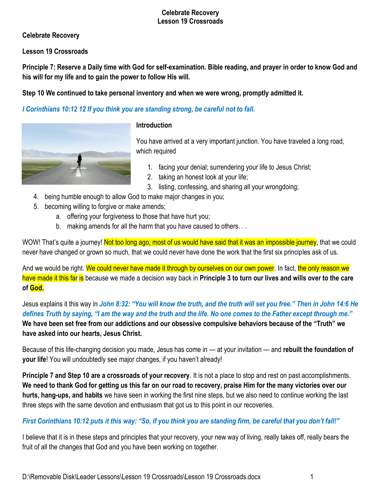# **Celebrate Recovery**

### **Lesson 19 Crossroads**

**Principle 7: Reserve a Daily time with God for self-examination. Bible reading, and prayer in order to know God and his will for my life and to gain the power to follow His will.**

**Step 10 We continued to take personal inventory and when we were wrong, promptly admitted it.**

# *I Corinthians 10:12 12 If you think you are standing strong, be careful not to fall.*



### **Introduction**

You have arrived at a very important junction. You have traveled a long road, which required

- 1. facing your denial; surrendering your life to Jesus Christ;
- 2. taking an honest look at your life;
- 3. listing, confessing, and sharing all your wrongdoing;
- 4. being humble enough to allow God to make major changes in you;
- 5. becoming willing to forgive or make amends;
	- a. offering your forgiveness to those that have hurt you;
	- b. making amends for all the harm that you have caused to others. . .

WOW! That's quite a journey! Not too long ago, most of us would have said that it was an impossible journey, that we could never have changed or grown so much, that we could never have done the work that the first six principles ask of us.

And we would be right. We could never have made it through by ourselves on our own power. In fact, the only reason we have made it this far is because we made a decision way back in **Principle 3 to turn our lives and wills over to the care of God.**

Jesus explains it this way in *John 8:32: "You will know the truth, and the truth will set you free." Then in John 14:6 He defines Truth by saying, "I am the way and the truth and the life. No one comes to the Father except through me."* **We have been set free from our addictions and our obsessive compulsive behaviors because of the "Truth" we have asked into our hearts, Jesus Christ.** 

Because of this life-changing decision you made, Jesus has come in — at your invitation — and **rebuilt the foundation of your life**! You will undoubtedly see major changes, if you haven't already!

**Principle 7 and Step 10 are a crossroads of your recovery**. It is not a place to stop and rest on past accomplishments. **We need to thank God for getting us this far on our road to recovery, praise Him for the many victories over our hurts, hang-ups, and habits** we have seen in working the first nine steps, but we also need to continue working the last three steps with the same devotion and enthusiasm that got us to this point in our recoveries.

### *First Corinthians 10:12 puts it this way: "So, if you think you are standing firm, be careful that you don't fall!"*

I believe that it is in these steps and principles that your recovery, your new way of living, really takes off, really bears the fruit of all the changes that God and you have been working on together.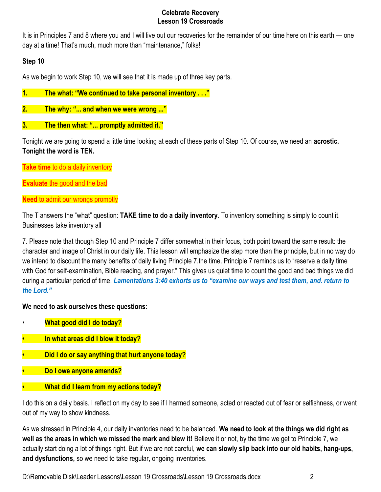It is in Principles 7 and 8 where you and I will live out our recoveries for the remainder of our time here on this earth — one day at a time! That's much, much more than "maintenance," folks!

# **Step 10**

As we begin to work Step 10, we will see that it is made up of three key parts.

- **1. The what: "We continued to take personal inventory . . ."**
- **2. The why: "... and when we were wrong ..."**
- **3. The then what: "... promptly admitted it."**

Tonight we are going to spend a little time looking at each of these parts of Step 10. Of course, we need an **acrostic. Tonight the word is TEN.** 

**Take time** to do a daily inventory

**Evaluate** the good and the bad

**Need** to admit our wrongs promptly

The T answers the "what" question: **TAKE time to do a daily inventory**. To inventory something is simply to count it. Businesses take inventory all

7. Please note that though Step 10 and Principle 7 differ somewhat in their focus, both point toward the same result: the character and image of Christ in our daily life. This lesson will emphasize the step more than the principle, but in no way do we intend to discount the many benefits of daily living Principle 7.the time. Principle 7 reminds us to "reserve a daily time with God for self-examination, Bible reading, and prayer." This gives us quiet time to count the good and bad things we did during a particular period of time. *Lamentations 3:40 exhorts us to "examine our ways and test them, and. return to the Lord."* 

**We need to ask ourselves these questions**:

- **What good did I do today?**
- **• In what areas did I blow it today?**
- **• Did I do or say anything that hurt anyone today?**
- **• Do I owe anyone amends?**
- **• What did I learn from my actions today?**

I do this on a daily basis. I reflect on my day to see if I harmed someone, acted or reacted out of fear or selfishness, or went out of my way to show kindness.

As we stressed in Principle 4, our daily inventories need to be balanced. **We need to look at the things we did right as well as the areas in which we missed the mark and blew it!** Believe it or not, by the time we get to Principle 7, we actually start doing a lot of things right. But if we are not careful, **we can slowly slip back into our old habits, hang-ups, and dysfunctions,** so we need to take regular, ongoing inventories.

D:\Removable Disk\Leader Lessons\Lesson 19 Crossroads\Lesson 19 Crossroads.docx 2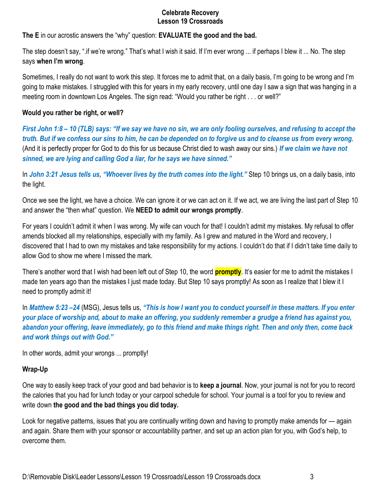**The E** in our acrostic answers the "why" question: **EVALUATE the good and the bad.**

The step doesn't say, ".if we're wrong." That's what I wish it said. If I'm ever wrong ... if perhaps I blew it ... No. The step says **when I'm wrong**.

Sometimes, I really do not want to work this step. It forces me to admit that, on a daily basis, I'm going to be wrong and I'm going to make mistakes. I struggled with this for years in my early recovery, until one day I saw a sign that was hanging in a meeting room in downtown Los Angeles. The sign read: "Would you rather be right . . . or well?"

# **Would you rather be right, or well?**

*First John 1:8 – 10 (TLB) says: "If we say we have no sin, we are only fooling ourselves, and refusing to accept the truth. But if we confess our sins to him, he can be depended on to forgive us and to cleanse us from every wrong.*  (And it is perfectly proper for God to do this for us because Christ died to wash away our sins.) *If we claim we have not sinned, we are lying and calling God a liar, for he says we have sinned."* 

In *John 3:21 Jesus tells us, "Whoever lives by the truth comes into the light."* Step 10 brings us, on a daily basis, into the light.

Once we see the light, we have a choice. We can ignore it or we can act on it. If we act, we are living the last part of Step 10 and answer the "then what" question. We **NEED to admit our wrongs promptly**.

For years I couldn't admit it when I was wrong. My wife can vouch for that! I couldn't admit my mistakes. My refusal to offer amends blocked all my relationships, especially with my family. As I grew and matured in the Word and recovery, I discovered that I had to own my mistakes and take responsibility for my actions. I couldn't do that if I didn't take time daily to allow God to show me where I missed the mark.

There's another word that I wish had been left out of Step 10, the word **promptly**. It's easier for me to admit the mistakes I made ten years ago than the mistakes I just made today. But Step 10 says promptly! As soon as I realize that I blew it I need to promptly admit it!

In *Matthew 5:23 –24* (MSG), Jesus tells us, *"This is how I want you to conduct yourself in these matters. If you enter your place of worship and, about to make an offering, you suddenly remember a grudge a friend has against you, abandon your offering, leave immediately, go to this friend and make things right. Then and only then, come back and work things out with God."* 

In other words, admit your wrongs ... promptly!

# **Wrap-Up**

One way to easily keep track of your good and bad behavior is to **keep a journal**. Now, your journal is not for you to record the calories that you had for lunch today or your carpool schedule for school. Your journal is a tool for you to review and write down **the good and the bad things you did today.**

Look for negative patterns, issues that you are continually writing down and having to promptly make amends for — again and again. Share them with your sponsor or accountability partner, and set up an action plan for you, with God's help, to overcome them.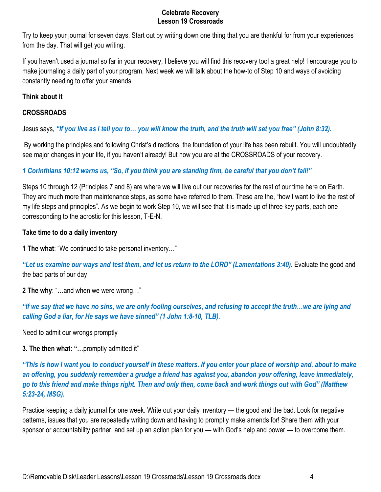Try to keep your journal for seven days. Start out by writing down one thing that you are thankful for from your experiences from the day. That will get you writing.

If you haven't used a journal so far in your recovery, I believe you will find this recovery tool a great help! I encourage you to make journaling a daily part of your program. Next week we will talk about the how-to of Step 10 and ways of avoiding constantly needing to offer your amends.

# **Think about it**

### **CROSSROADS**

Jesus says, *"If you live as I tell you to… you will know the truth, and the truth will set you free" (John 8:32).*

By working the principles and following Christ's directions, the foundation of your life has been rebuilt. You will undoubtedly see major changes in your life, if you haven't already! But now you are at the CROSSROADS of your recovery.

# *1 Corinthians 10:12 warns us, "So, if you think you are standing firm, be careful that you don't fall!"*

Steps 10 through 12 (Principles 7 and 8) are where we will live out our recoveries for the rest of our time here on Earth. They are much more than maintenance steps, as some have referred to them. These are the, "how I want to live the rest of my life steps and principles". As we begin to work Step 10, we will see that it is made up of three key parts, each one corresponding to the acrostic for this lesson, T-E-N.

### **Take time to do a daily inventory**

**1 The what**: "We continued to take personal inventory…"

*"Let us examine our ways and test them, and let us return to the LORD" (Lamentations 3:40)*. Evaluate the good and the bad parts of our day

**2 The why**: "…and when we were wrong…"

*"If we say that we have no sins, we are only fooling ourselves, and refusing to accept the truth…we are lying and calling God a liar, for He says we have sinned" (1 John 1:8-10, TLB).*

Need to admit our wrongs promptly

**3. The then what: "…**promptly admitted it"

*"This is how I want you to conduct yourself in these matters. If you enter your place of worship and, about to make an offering, you suddenly remember a grudge a friend has against you, abandon your offering, leave immediately, go to this friend and make things right. Then and only then, come back and work things out with God" (Matthew 5:23-24, MSG).*

Practice keeping a daily journal for one week. Write out your daily inventory — the good and the bad. Look for negative patterns, issues that you are repeatedly writing down and having to promptly make amends for! Share them with your sponsor or accountability partner, and set up an action plan for you — with God's help and power — to overcome them.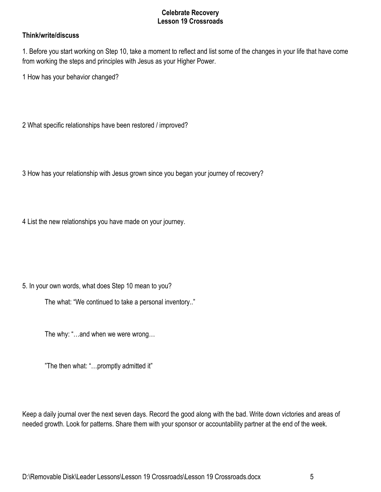### **Think/write/discuss**

1. Before you start working on Step 10, take a moment to reflect and list some of the changes in your life that have come from working the steps and principles with Jesus as your Higher Power.

1 How has your behavior changed?

2 What specific relationships have been restored / improved?

3 How has your relationship with Jesus grown since you began your journey of recovery?

4 List the new relationships you have made on your journey.

5. In your own words, what does Step 10 mean to you?

The what: "We continued to take a personal inventory.."

The why: "…and when we were wrong…

"The then what: "…promptly admitted it"

Keep a daily journal over the next seven days. Record the good along with the bad. Write down victories and areas of needed growth. Look for patterns. Share them with your sponsor or accountability partner at the end of the week.